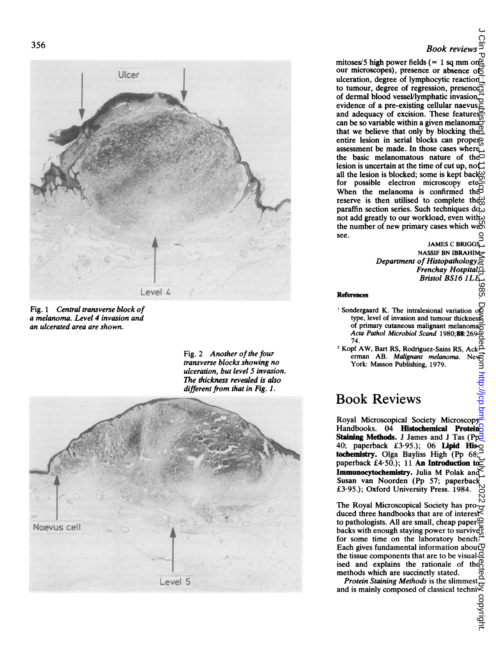

Fig. 2 Another of the four<br>
transverse blocks showing no<br>
ulceration, but level 5 invasion.<br>
The thickness revealed is also<br>
different from that in Fig. 1. ulceration, but level 5 invasion. The thickness revealed is also different from that in Fig. 1.



## 356 Book reviews

mitoses/5 high power fields (= 1 sq mm on $\frac{\Delta x}{\Delta}$ <br>our microscopes), presence or absence of to tumour, degree of regression, presence<sub>co</sub> of dermal blood vessel/lymphatic invasion, evidence of a pre-existing cellular naevus $\leq$ and adequacy of excision. These features can be so variable within a given melanoma that we believe that only by blocking the<sub>2</sub><sup>0</sup> entire lesion in serial blocks can proper assessment be made. In those cases where the basic melanomatous nature of the lesion is uncertain at the time of cut up, not all the lesion is blocked; some is kept back for possible electron microscopy When the melanoma is confirmed the reserve is then utilised to complete the  $\frac{\partial}{\partial \theta}$ paraffin section series. Such techniques  $d\tilde{\alpha}$ not add greatly to our workload, even with the number of new primary cases which we see. on July 1, 2022 by guest particled by growing by guest. Depending the published from the  $\mu$  and  $\mu$  and  $\mu$  as  $2$  or  $\mu$   $\mu$  as  $2$  or  $\mu$   $\mu$  as  $2$  or  $\mu$  as  $2$  or  $\mu$  as  $2$  or  $\mu$   $\mu$  is a  $\mu$  and  $\mu$ 

**JAMES C BRIGG** NASSIF BN IBRAHIM Department of Histopathology,  $\overline{\omega}$ Frenchay Hospital, Bristol BS16 1LI

- Fig. <sup>1</sup> Central transverse block of 'Sondergaard K. The intralesional variation of a melanoma. Level 4 invasion and  $\blacksquare$  and  $\blacksquare$  and  $\blacksquare$  invasion and tumour thickness and tumour thickness and tumour thickness and tumour thickness and tumour thickness and  $\blacksquare$  and  $\blacksquare$  and  $\blacksquare$  and  $\blacksquare$  a of primary cutaneous malignant melanoma $\frac{a}{\Omega}$ Acta Pathol Microbiol Scand 1980;88:269<br>74.
	- 74.<br>2 Kopf AW, Bart RS, Rodriguez-Sains RS, Ack- و Kopf AW, Bart RS, Rodriguez-Sains RS, Ack-<br>Fig. 2 Another of the four erman AB. Malignant melanoma. New

## Book Reviews

Royal Microscopical Society Microscopy<sup>2</sup> Handbooks. 04 **Histochemical Protein Staining Methods.** J James and J Tas (Pp $\overline{\rightarrow}$ 40; paperback £3.95.); 06 Lipid His- $\overline{O}$  tochemistry. Olga Bayliss High (Pp 68; paperback £4.50.); 11 An Introduction to Immunocytochemistry. Julia M Polak and Susan van Noorden (Pp 57; paperback £3-95.); Oxford University Press. 1984.

The Royal Microscopical Society has pro- $\frac{10}{9}$ duced three handbooks that are of interest to pathologists. All are small, cheap paper for some time on the laboratory bench. Each gives fundamental information about  $\nabla$ the tissue components that are to be visualised and explains the rationale of the methods which are succinctly stated. methods which are succinctly stated.

*Protein staining methods* is the summest, and is mainly composed of classical techni $\leq$